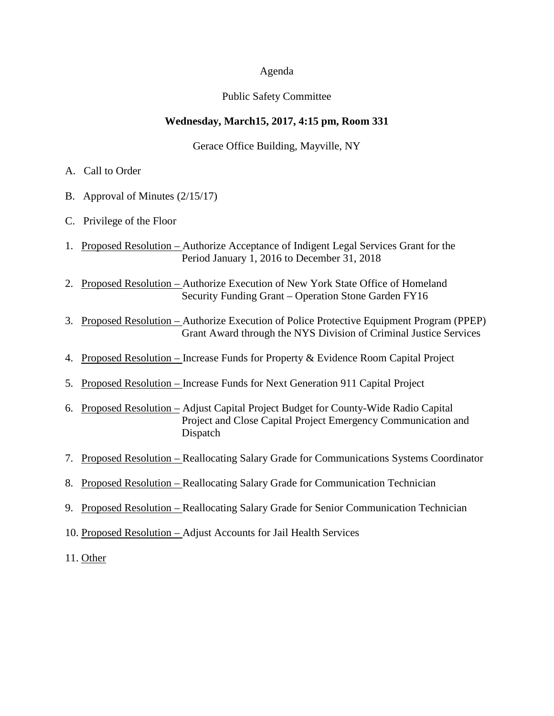#### Agenda

#### Public Safety Committee

#### **Wednesday, March15, 2017, 4:15 pm, Room 331**

Gerace Office Building, Mayville, NY

- A. Call to Order
- B. Approval of Minutes (2/15/17)
- C. Privilege of the Floor
- 1. Proposed Resolution Authorize Acceptance of Indigent Legal Services Grant for the Period January 1, 2016 to December 31, 2018
- 2. Proposed Resolution Authorize Execution of New York State Office of Homeland Security Funding Grant – Operation Stone Garden FY16
- 3. Proposed Resolution Authorize Execution of Police Protective Equipment Program (PPEP) Grant Award through the NYS Division of Criminal Justice Services
- 4. Proposed Resolution Increase Funds for Property & Evidence Room Capital Project
- 5. Proposed Resolution Increase Funds for Next Generation 911 Capital Project
- 6. Proposed Resolution Adjust Capital Project Budget for County-Wide Radio Capital Project and Close Capital Project Emergency Communication and Dispatch
- 7. Proposed Resolution Reallocating Salary Grade for Communications Systems Coordinator
- 8. Proposed Resolution Reallocating Salary Grade for Communication Technician
- 9. Proposed Resolution Reallocating Salary Grade for Senior Communication Technician
- 10. Proposed Resolution Adjust Accounts for Jail Health Services
- 11. Other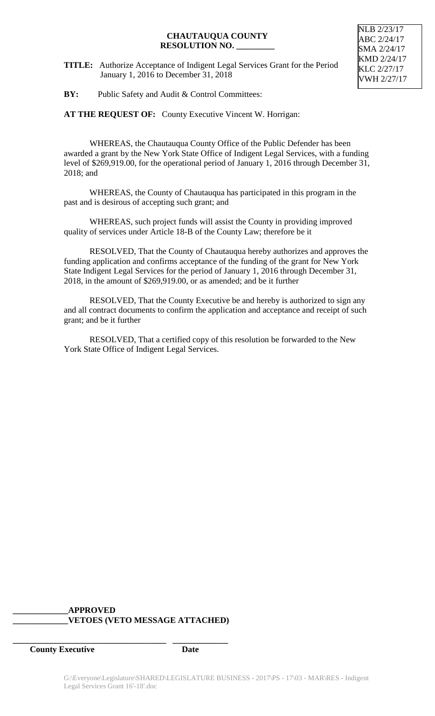**TITLE:** Authorize Acceptance of Indigent Legal Services Grant for the Period January 1, 2016 to December 31, 2018



**BY:** Public Safety and Audit & Control Committees:

**AT THE REQUEST OF:** County Executive Vincent W. Horrigan:

WHEREAS, the Chautauqua County Office of the Public Defender has been awarded a grant by the New York State Office of Indigent Legal Services, with a funding level of \$269,919.00, for the operational period of January 1, 2016 through December 31, 2018; and

WHEREAS, the County of Chautauqua has participated in this program in the past and is desirous of accepting such grant; and

WHEREAS, such project funds will assist the County in providing improved quality of services under Article 18-B of the County Law; therefore be it

RESOLVED, That the County of Chautauqua hereby authorizes and approves the funding application and confirms acceptance of the funding of the grant for New York State Indigent Legal Services for the period of January 1, 2016 through December 31, 2018, in the amount of \$269,919.00, or as amended; and be it further

RESOLVED, That the County Executive be and hereby is authorized to sign any and all contract documents to confirm the application and acceptance and receipt of such grant; and be it further

RESOLVED, That a certified copy of this resolution be forwarded to the New York State Office of Indigent Legal Services.

## **\_\_\_\_\_\_\_\_\_\_\_\_\_APPROVED \_\_\_\_\_\_\_\_\_\_\_\_\_VETOES (VETO MESSAGE ATTACHED)**

**\_\_\_\_\_\_\_\_\_\_\_\_\_\_\_\_\_\_\_\_\_\_\_\_\_\_\_\_\_\_\_\_\_\_\_\_ \_\_\_\_\_\_\_\_\_\_\_\_\_**

**County Executive Date**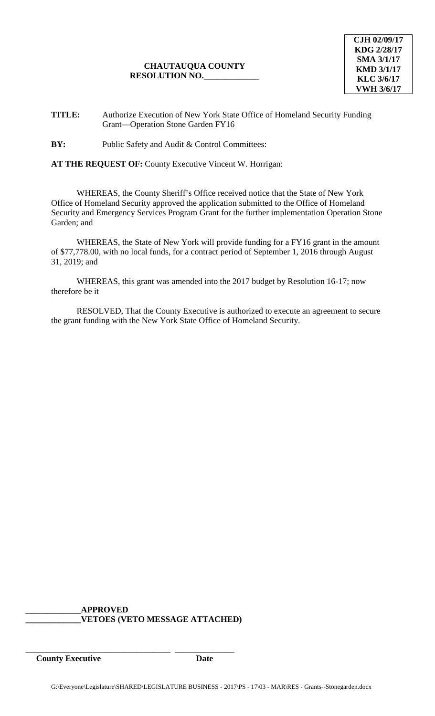**TITLE:** Authorize Execution of New York State Office of Homeland Security Funding Grant—Operation Stone Garden FY16

**BY:** Public Safety and Audit & Control Committees:

**AT THE REQUEST OF:** County Executive Vincent W. Horrigan:

WHEREAS, the County Sheriff's Office received notice that the State of New York Office of Homeland Security approved the application submitted to the Office of Homeland Security and Emergency Services Program Grant for the further implementation Operation Stone Garden; and

WHEREAS, the State of New York will provide funding for a FY16 grant in the amount of \$77,778.00, with no local funds, for a contract period of September 1, 2016 through August 31, 2019; and

WHEREAS, this grant was amended into the 2017 budget by Resolution 16-17; now therefore be it

RESOLVED, That the County Executive is authorized to execute an agreement to secure the grant funding with the New York State Office of Homeland Security.

**\_\_\_\_\_\_\_\_\_\_\_\_\_APPROVED \_\_\_\_\_\_\_\_\_\_\_\_\_VETOES (VETO MESSAGE ATTACHED)**

\_\_\_\_\_\_\_\_\_\_\_\_\_\_\_\_\_\_\_\_\_\_\_\_\_\_\_\_\_\_\_\_\_\_ \_\_\_\_\_\_\_\_\_\_\_\_\_\_

**County Executive Date**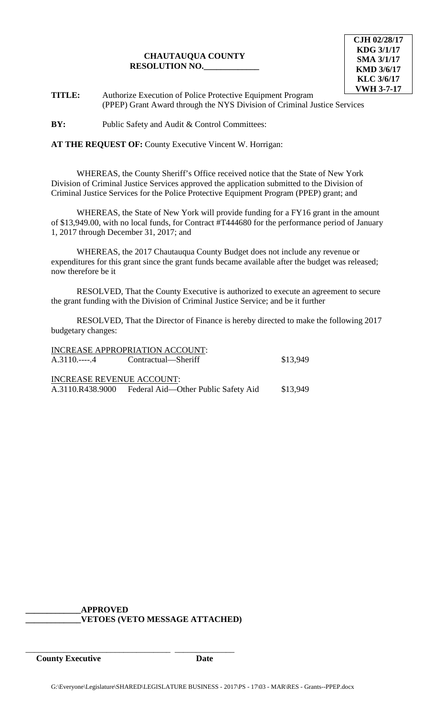

**TITLE:** Authorize Execution of Police Protective Equipment Program (PPEP) Grant Award through the NYS Division of Criminal Justice Services

**BY:** Public Safety and Audit & Control Committees:

**AT THE REQUEST OF:** County Executive Vincent W. Horrigan:

WHEREAS, the County Sheriff's Office received notice that the State of New York Division of Criminal Justice Services approved the application submitted to the Division of Criminal Justice Services for the Police Protective Equipment Program (PPEP) grant; and

WHEREAS, the State of New York will provide funding for a FY16 grant in the amount of \$13,949.00, with no local funds, for Contract #T444680 for the performance period of January 1, 2017 through December 31, 2017; and

WHEREAS, the 2017 Chautauqua County Budget does not include any revenue or expenditures for this grant since the grant funds became available after the budget was released; now therefore be it

RESOLVED, That the County Executive is authorized to execute an agreement to secure the grant funding with the Division of Criminal Justice Service; and be it further

RESOLVED, That the Director of Finance is hereby directed to make the following 2017 budgetary changes:

|                                  | INCREASE APPROPRIATION ACCOUNT:                      |          |
|----------------------------------|------------------------------------------------------|----------|
|                                  | A.3110.----.4 Contractual—Sheriff                    | \$13,949 |
| <b>INCREASE REVENUE ACCOUNT:</b> |                                                      |          |
|                                  | A.3110.R438.9000 Federal Aid—Other Public Safety Aid | \$13,949 |

**\_\_\_\_\_\_\_\_\_\_\_\_\_APPROVED \_\_\_\_\_\_\_\_\_\_\_\_\_VETOES (VETO MESSAGE ATTACHED)**

\_\_\_\_\_\_\_\_\_\_\_\_\_\_\_\_\_\_\_\_\_\_\_\_\_\_\_\_\_\_\_\_\_\_ \_\_\_\_\_\_\_\_\_\_\_\_\_\_

**County Executive Date**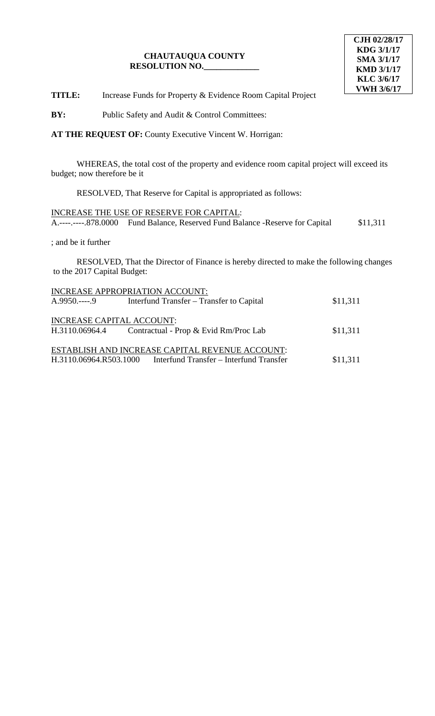**TITLE:** Increase Funds for Property & Evidence Room Capital Project

**BY:** Public Safety and Audit & Control Committees:

**AT THE REQUEST OF:** County Executive Vincent W. Horrigan:

WHEREAS, the total cost of the property and evidence room capital project will exceed its budget; now therefore be it

RESOLVED, That Reserve for Capital is appropriated as follows:

INCREASE THE USE OF RESERVE FOR CAPITAL: A.----.----.878.0000 Fund Balance, Reserved Fund Balance -Reserve for Capital \$11,311

; and be it further

RESOLVED, That the Director of Finance is hereby directed to make the following changes to the 2017 Capital Budget:

|                                                    | INCREASE APPROPRIATION ACCOUNT:                                                                                   |          |
|----------------------------------------------------|-------------------------------------------------------------------------------------------------------------------|----------|
| $A.9950$ 9                                         | Interfund Transfer - Transfer to Capital                                                                          | \$11,311 |
| <b>INCREASE CAPITAL ACCOUNT:</b><br>H.3110.06964.4 | Contractual - Prop & Evid Rm/Proc Lab                                                                             | \$11,311 |
|                                                    | ESTABLISH AND INCREASE CAPITAL REVENUE ACCOUNT:<br>H.3110.06964.R503.1000 Interfund Transfer – Interfund Transfer | \$11,311 |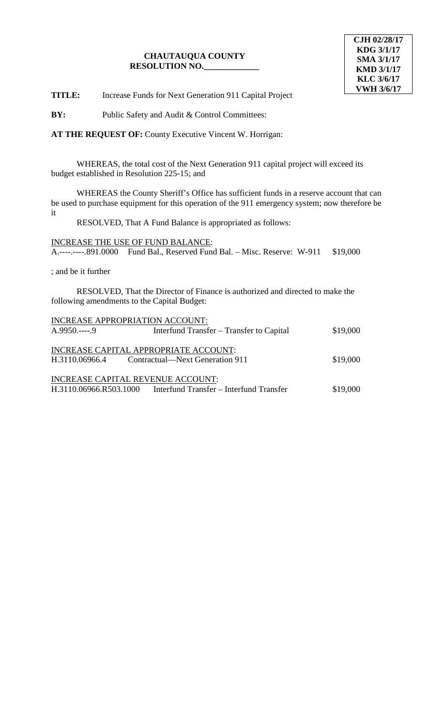**TITLE:** Increase Funds for Next Generation 911 Capital Project

**BY:** Public Safety and Audit & Control Committees:

**AT THE REQUEST OF:** County Executive Vincent W. Horrigan:

WHEREAS, the total cost of the Next Generation 911 capital project will exceed its budget established in Resolution 225-15; and

WHEREAS the County Sheriff's Office has sufficient funds in a reserve account that can be used to purchase equipment for this operation of the 911 emergency system; now therefore be it

RESOLVED, That A Fund Balance is appropriated as follows:

INCREASE THE USE OF FUND BALANCE: A.----.----.891.0000 Fund Bal., Reserved Fund Bal. – Misc. Reserve: W-911 \$19,000

; and be it further

RESOLVED, That the Director of Finance is authorized and directed to make the following amendments to the Capital Budget:

| INCREASE APPROPRIATION ACCOUNT:   |                                          |          |
|-----------------------------------|------------------------------------------|----------|
| $A.9950---9$                      | Interfund Transfer – Transfer to Capital | \$19,000 |
|                                   |                                          |          |
|                                   | INCREASE CAPITAL APPROPRIATE ACCOUNT:    |          |
| H.3110.06966.4                    | Contractual—Next Generation 911          | \$19,000 |
|                                   |                                          |          |
| INCREASE CAPITAL REVENUE ACCOUNT: |                                          |          |
| H.3110.06966.R503.1000            | Interfund Transfer – Interfund Transfer  | \$19,000 |
|                                   |                                          |          |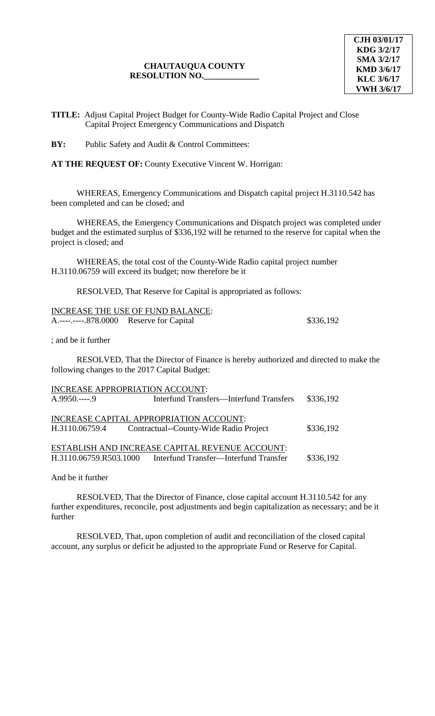**TITLE:** Adjust Capital Project Budget for County-Wide Radio Capital Project and Close Capital Project Emergency Communications and Dispatch

**BY:** Public Safety and Audit & Control Committees:

**AT THE REQUEST OF:** County Executive Vincent W. Horrigan:

WHEREAS, Emergency Communications and Dispatch capital project H.3110.542 has been completed and can be closed; and

WHEREAS, the Emergency Communications and Dispatch project was completed under budget and the estimated surplus of \$336,192 will be returned to the reserve for capital when the project is closed; and

WHEREAS, the total cost of the County-Wide Radio capital project number H.3110.06759 will exceed its budget; now therefore be it

RESOLVED, That Reserve for Capital is appropriated as follows:

|                                          | INCREASE THE USE OF FUND BALANCE: |           |
|------------------------------------------|-----------------------------------|-----------|
| A.----.----.878.0000 Reserve for Capital |                                   | \$336,192 |

; and be it further

RESOLVED, That the Director of Finance is hereby authorized and directed to make the following changes to the 2017 Capital Budget:

| INCREASE APPROPRIATION ACCOUNT:<br>$A.9950---9$                                                                                 | Interfund Transfers—Interfund Transfers | \$336,192 |  |
|---------------------------------------------------------------------------------------------------------------------------------|-----------------------------------------|-----------|--|
| INCREASE CAPITAL APPROPRIATION ACCOUNT:<br>Contractual--County-Wide Radio Project<br>\$336,192<br>H.3110.06759.4                |                                         |           |  |
| ESTABLISH AND INCREASE CAPITAL REVENUE ACCOUNT:<br>\$336,192<br>H.3110.06759.R503.1000<br>Interfund Transfer-Interfund Transfer |                                         |           |  |

And be it further

RESOLVED, That the Director of Finance, close capital account H.3110.542 for any further expenditures, reconcile, post adjustments and begin capitalization as necessary; and be it further

RESOLVED, That, upon completion of audit and reconciliation of the closed capital account, any surplus or deficit be adjusted to the appropriate Fund or Reserve for Capital.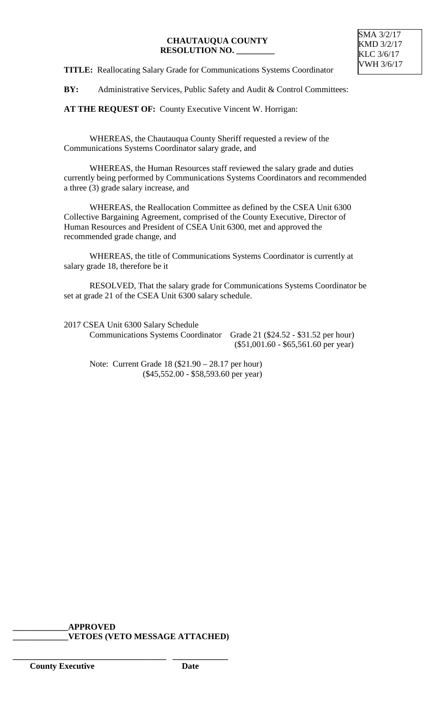**TITLE:** Reallocating Salary Grade for Communications Systems Coordinator

BY: Administrative Services, Public Safety and Audit & Control Committees:

**AT THE REQUEST OF:** County Executive Vincent W. Horrigan:

WHEREAS, the Chautauqua County Sheriff requested a review of the Communications Systems Coordinator salary grade, and

WHEREAS, the Human Resources staff reviewed the salary grade and duties currently being performed by Communications Systems Coordinators and recommended a three (3) grade salary increase, and

WHEREAS, the Reallocation Committee as defined by the CSEA Unit 6300 Collective Bargaining Agreement, comprised of the County Executive, Director of Human Resources and President of CSEA Unit 6300, met and approved the recommended grade change, and

WHEREAS, the title of Communications Systems Coordinator is currently at salary grade 18, therefore be it

RESOLVED, That the salary grade for Communications Systems Coordinator be set at grade 21 of the CSEA Unit 6300 salary schedule.

2017 CSEA Unit 6300 Salary Schedule

Communications Systems Coordinator Grade 21 (\$24.52 - \$31.52 per hour) (\$51,001.60 - \$65,561.60 per year)

Note: Current Grade 18 (\$21.90 – 28.17 per hour) (\$45,552.00 - \$58,593.60 per year)

**\_\_\_\_\_\_\_\_\_\_\_\_\_APPROVED \_\_\_\_\_\_\_\_\_\_\_\_\_VETOES (VETO MESSAGE ATTACHED)**

**\_\_\_\_\_\_\_\_\_\_\_\_\_\_\_\_\_\_\_\_\_\_\_\_\_\_\_\_\_\_\_\_\_\_\_\_ \_\_\_\_\_\_\_\_\_\_\_\_\_**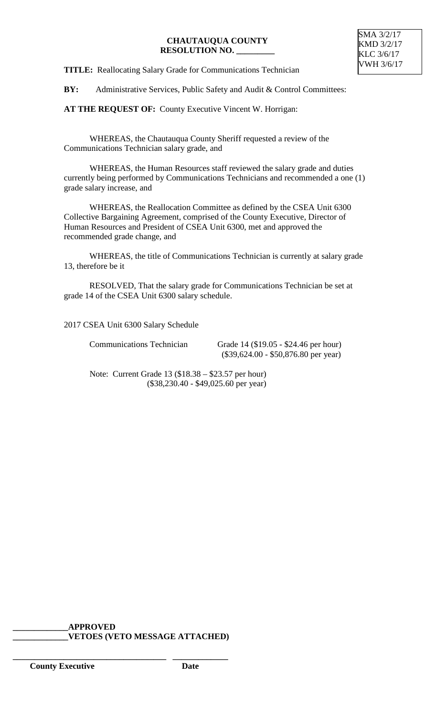**TITLE:** Reallocating Salary Grade for Communications Technician

BY: Administrative Services, Public Safety and Audit & Control Committees:

**AT THE REQUEST OF:** County Executive Vincent W. Horrigan:

WHEREAS, the Chautauqua County Sheriff requested a review of the Communications Technician salary grade, and

WHEREAS, the Human Resources staff reviewed the salary grade and duties currently being performed by Communications Technicians and recommended a one (1) grade salary increase, and

WHEREAS, the Reallocation Committee as defined by the CSEA Unit 6300 Collective Bargaining Agreement, comprised of the County Executive, Director of Human Resources and President of CSEA Unit 6300, met and approved the recommended grade change, and

WHEREAS, the title of Communications Technician is currently at salary grade 13, therefore be it

RESOLVED, That the salary grade for Communications Technician be set at grade 14 of the CSEA Unit 6300 salary schedule.

2017 CSEA Unit 6300 Salary Schedule

Communications Technician Grade 14 (\$19.05 - \$24.46 per hour) (\$39,624.00 - \$50,876.80 per year)

Note: Current Grade 13 (\$18.38 – \$23.57 per hour) (\$38,230.40 - \$49,025.60 per year)

**\_\_\_\_\_\_\_\_\_\_\_\_\_APPROVED \_\_\_\_\_\_\_\_\_\_\_\_\_VETOES (VETO MESSAGE ATTACHED)**

**\_\_\_\_\_\_\_\_\_\_\_\_\_\_\_\_\_\_\_\_\_\_\_\_\_\_\_\_\_\_\_\_\_\_\_\_ \_\_\_\_\_\_\_\_\_\_\_\_\_**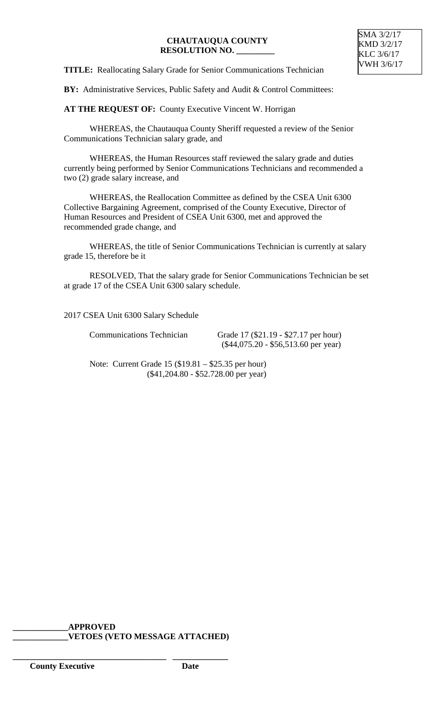**TITLE:** Reallocating Salary Grade for Senior Communications Technician

**BY:** Administrative Services, Public Safety and Audit & Control Committees:

**AT THE REQUEST OF:** County Executive Vincent W. Horrigan

WHEREAS, the Chautauqua County Sheriff requested a review of the Senior Communications Technician salary grade, and

WHEREAS, the Human Resources staff reviewed the salary grade and duties currently being performed by Senior Communications Technicians and recommended a two (2) grade salary increase, and

WHEREAS, the Reallocation Committee as defined by the CSEA Unit 6300 Collective Bargaining Agreement, comprised of the County Executive, Director of Human Resources and President of CSEA Unit 6300, met and approved the recommended grade change, and

WHEREAS, the title of Senior Communications Technician is currently at salary grade 15, therefore be it

RESOLVED, That the salary grade for Senior Communications Technician be set at grade 17 of the CSEA Unit 6300 salary schedule.

2017 CSEA Unit 6300 Salary Schedule

Communications Technician Grade 17 (\$21.19 - \$27.17 per hour) (\$44,075.20 - \$56,513.60 per year)

Note: Current Grade 15 (\$19.81 – \$25.35 per hour) (\$41,204.80 - \$52.728.00 per year)

#### **\_\_\_\_\_\_\_\_\_\_\_\_\_APPROVED \_\_\_\_\_\_\_\_\_\_\_\_\_VETOES (VETO MESSAGE ATTACHED)**

**\_\_\_\_\_\_\_\_\_\_\_\_\_\_\_\_\_\_\_\_\_\_\_\_\_\_\_\_\_\_\_\_\_\_\_\_ \_\_\_\_\_\_\_\_\_\_\_\_\_**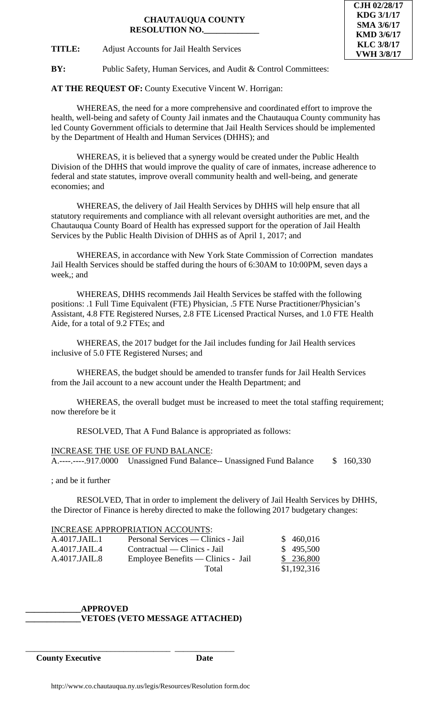**CJH 02/28/17 KDG 3/1/17 SMA 3/6/17 KMD 3/6/17 KLC 3/8/17 VWH 3/8/17**

**TITLE:** Adjust Accounts for Jail Health Services

**BY:** Public Safety, Human Services, and Audit & Control Committees:

**AT THE REQUEST OF:** County Executive Vincent W. Horrigan:

WHEREAS, the need for a more comprehensive and coordinated effort to improve the health, well-being and safety of County Jail inmates and the Chautauqua County community has led County Government officials to determine that Jail Health Services should be implemented by the Department of Health and Human Services (DHHS); and

WHEREAS, it is believed that a synergy would be created under the Public Health Division of the DHHS that would improve the quality of care of inmates, increase adherence to federal and state statutes, improve overall community health and well-being, and generate economies; and

WHEREAS, the delivery of Jail Health Services by DHHS will help ensure that all statutory requirements and compliance with all relevant oversight authorities are met, and the Chautauqua County Board of Health has expressed support for the operation of Jail Health Services by the Public Health Division of DHHS as of April 1, 2017; and

WHEREAS, in accordance with New York State Commission of Correction mandates Jail Health Services should be staffed during the hours of 6:30AM to 10:00PM, seven days a week,; and

WHEREAS, DHHS recommends Jail Health Services be staffed with the following positions: .1 Full Time Equivalent (FTE) Physician, .5 FTE Nurse Practitioner/Physician's Assistant, 4.8 FTE Registered Nurses, 2.8 FTE Licensed Practical Nurses, and 1.0 FTE Health Aide, for a total of 9.2 FTEs; and

WHEREAS, the 2017 budget for the Jail includes funding for Jail Health services inclusive of 5.0 FTE Registered Nurses; and

WHEREAS, the budget should be amended to transfer funds for Jail Health Services from the Jail account to a new account under the Health Department; and

WHEREAS, the overall budget must be increased to meet the total staffing requirement; now therefore be it

RESOLVED, That A Fund Balance is appropriated as follows:

#### INCREASE THE USE OF FUND BALANCE:

A.----.----.917.0000 Unassigned Fund Balance-- Unassigned Fund Balance \$ 160,330

; and be it further

RESOLVED, That in order to implement the delivery of Jail Health Services by DHHS, the Director of Finance is hereby directed to make the following 2017 budgetary changes:

#### INCREASE APPROPRIATION ACCOUNTS:

\_\_\_\_\_\_\_\_\_\_\_\_\_\_\_\_\_\_\_\_\_\_\_\_\_\_\_\_\_\_\_\_\_\_ \_\_\_\_\_\_\_\_\_\_\_\_\_\_

| A.4017.JAIL.1 | Personal Services — Clinics - Jail | \$460,016   |
|---------------|------------------------------------|-------------|
| A.4017.JAIL.4 | Contractual — Clinics - Jail       | \$495,500   |
| A.4017.JAIL.8 | Employee Benefits — Clinics - Jail | \$236,800   |
|               | Total                              | \$1,192,316 |

#### **\_\_\_\_\_\_\_\_\_\_\_\_\_APPROVED \_\_\_\_\_\_\_\_\_\_\_\_\_VETOES (VETO MESSAGE ATTACHED)**

**County Executive Date**